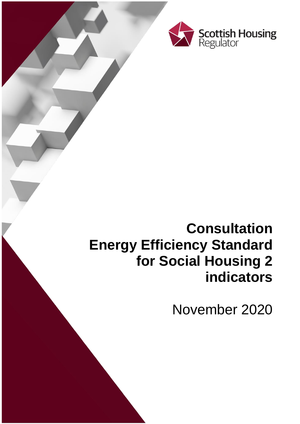

# **Consultation Energy Efficiency Standard for Social Housing 2 indicators**

November 2020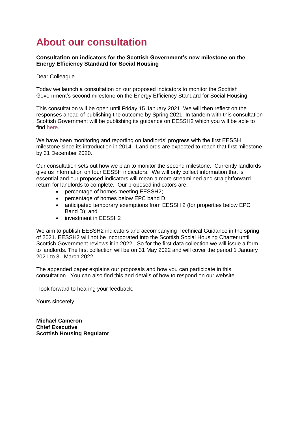### **About our consultation**

#### **Consultation on indicators for the Scottish Government's new milestone on the Energy Efficiency Standard for Social Housing**

Dear Colleague

Today we launch a consultation on our proposed indicators to monitor the Scottish Government's second milestone on the Energy Efficiency Standard for Social Housing.

This consultation will be open until Friday 15 January 2021. We will then reflect on the responses ahead of publishing the outcome by Spring 2021. In tandem with this consultation Scottish Government will be publishing its guidance on EESSH2 which you will be able to find [here.](https://www.gov.scot/policies/home-energy-and-fuel-poverty/energy-efficiency-in-social-housing/)

We have been monitoring and reporting on landlords' progress with the first EESSH milestone since its introduction in 2014. Landlords are expected to reach that first milestone by 31 December 2020.

Our consultation sets out how we plan to monitor the second milestone. Currently landlords give us information on four EESSH indicators. We will only collect information that is essential and our proposed indicators will mean a more streamlined and straightforward return for landlords to complete. Our proposed indicators are:

- percentage of homes meeting EESSH2;
- percentage of homes below EPC band D;
- anticipated temporary exemptions from EESSH 2 (for properties below EPC Band D); and
- investment in EESSH2

We aim to publish EESSH2 indicators and accompanying Technical Guidance in the spring of 2021. EESSH2 will not be incorporated into the Scottish Social Housing Charter until Scottish Government reviews it in 2022. So for the first data collection we will issue a form to landlords. The first collection will be on 31 May 2022 and will cover the period 1 January 2021 to 31 March 2022.

The appended paper explains our proposals and how you can participate in this consultation. You can also find this and details of how to respond on our website.

I look forward to hearing your feedback.

Yours sincerely

**Michael Cameron Chief Executive Scottish Housing Regulator**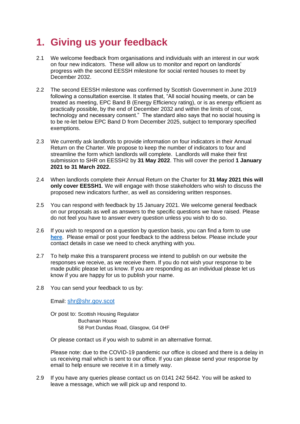## **1. Giving us your feedback**

- 2.1 We welcome feedback from organisations and individuals with an interest in our work on four new indicators. These will allow us to monitor and report on landlords' progress with the second EESSH milestone for social rented houses to meet by December 2032.
- 2.2 The second EESSH milestone was confirmed by Scottish Government in June 2019 following a consultation exercise. It states that, "All social housing meets, or can be treated as meeting, EPC Band B (Energy Efficiency rating), or is as energy efficient as practically possible, by the end of December 2032 and within the limits of cost, technology and necessary consent." The standard also says that no social housing is to be re-let below EPC Band D from December 2025, subject to temporary specified exemptions.
- 2.3 We currently ask landlords to provide information on four indicators in their Annual Return on the Charter. We propose to keep the number of indicators to four and streamline the form which landlords will complete. Landlords will make their first submission to SHR on EESSH2 by **31 May 2022**. This will cover the period **1 January 2021 to 31 March 2022.**
- 2.4 When landlords complete their Annual Return on the Charter for **31 May 2021 this will only cover EESSH1**. We will engage with those stakeholders who wish to discuss the proposed new indicators further, as well as considering written responses.
- 2.5 You can respond with feedback by 15 January 2021. We welcome general feedback on our proposals as well as answers to the specific questions we have raised. Please do not feel you have to answer every question unless you wish to do so.
- 2.6 If you wish to respond on a question by question basis, you can find a form to use **[here](https://www.housingregulator.gov.scot/about-us/what-we-do/consultation-on-the-draft-indicators-for-monitoring-the-energy-efficiency-standards-for-social-housing-2-eessh2/questionnaire-consultation-on-indicators-for-the-energy-efficiency-standard-for-social-housing-2)**. Please email or post your feedback to the address below. Please include your contact details in case we need to check anything with you.
- 2.7 To help make this a transparent process we intend to publish on our website the responses we receive, as we receive them. If you do not wish your response to be made public please let us know. If you are responding as an individual please let us know if you are happy for us to publish your name.
- 2.8 You can send your feedback to us by:

Email: [shr@shr.gov.scot](mailto:shr@shr.gov.scot)

Or post to: Scottish Housing Regulator Buchanan House 58 Port Dundas Road, Glasgow, G4 0HF

Or please contact us if you wish to submit in an alternative format.

Please note: due to the COVID-19 pandemic our office is closed and there is a delay in us receiving mail which is sent to our office. If you can please send your response by email to help ensure we receive it in a timely way.

2.9 If you have any queries please contact us on 0141 242 5642. You will be asked to leave a message, which we will pick up and respond to.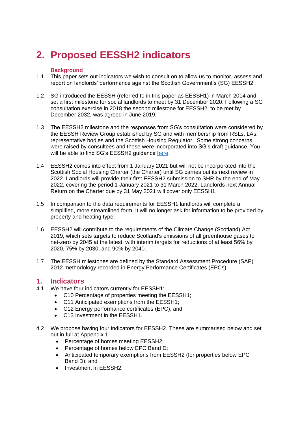# **2. Proposed EESSH2 indicators**

#### **Background**

- 1.1 This paper sets out indicators we wish to consult on to allow us to monitor, assess and report on landlords' performance against the Scottish Government's (SG) EESSH2.
- 1.2 SG introduced the EESSH (referred to in this paper as EESSH1) in March 2014 and set a first milestone for social landlords to meet by 31 December 2020. Following a SG consultation exercise in 2018 the second milestone for EESSH2, to be met by December 2032, was agreed in June 2019.
- 1.3 The EESSH2 milestone and the responses from SG's consultation were considered by the EESSH Review Group established by SG and with membership from RSLs, LAs, representative bodies and the Scottish Housing Regulator. Some strong concerns were raised by consultees and these were incorporated into SG's draft guidance. You will be able to find SG's EESSH2 quidance [here.](https://www.gov.scot/policies/home-energy-and-fuel-poverty/energy-efficiency-in-social-housing/)
- 1.4 EESSH2 comes into effect from 1 January 2021 but will not be incorporated into the Scottish Social Housing Charter (the Charter) until SG carries out its next review in 2022. Landlords will provide their first EESSH2 submission to SHR by the end of May 2022, covering the period 1 January 2021 to 31 March 2022. Landlords next Annual Return on the Charter due by 31 May 2021 will cover only EESSH1.
- 1.5 In comparison to the data requirements for EESSH1 landlords will complete a simplified, more streamlined form. It will no longer ask for information to be provided by property and heating type.
- 1.6 EESSH2 will contribute to the requirements of the Climate Change (Scotland) Act 2019, which sets targets to reduce Scotland's emissions of all greenhouse gases to net-zero by 2045 at the latest, with interim targets for reductions of at least 56% by 2020, 75% by 2030, and 90% by 2040.
- 1.7 The EESSH milestones are defined by the Standard Assessment Procedure (SAP) 2012 methodology recorded in Energy Performance Certificates (EPCs).

### **1. Indicators**

- 4.1 We have four indicators currently for EESSH1:
	- C10 Percentage of properties meeting the EESSH1;
	- C11 Anticipated exemptions from the EESSH1;
	- C12 Energy performance certificates (EPC); and
	- C13 Investment in the EESSH1.
- 4.2 We propose having four indicators for EESSH2. These are summarised below and set out in full at Appendix 1:
	- Percentage of homes meeting EESSH2;
	- Percentage of homes below EPC Band D;
	- Anticipated temporary exemptions from EESSH2 (for properties below EPC Band D); and
	- Investment in EESSH2.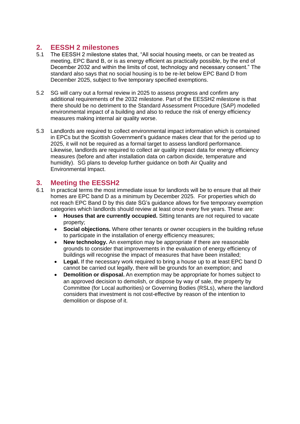### **2. EESSH 2 milestones**

- 5.1 The EESSH 2 milestone states that, "All social housing meets, or can be treated as meeting, EPC Band B, or is as energy efficient as practically possible, by the end of December 2032 and within the limits of cost, technology and necessary consent." The standard also says that no social housing is to be re-let below EPC Band D from December 2025, subject to five temporary specified exemptions.
- 5.2 SG will carry out a formal review in 2025 to assess progress and confirm any additional requirements of the 2032 milestone. Part of the EESSH2 milestone is that there should be no detriment to the Standard Assessment Procedure (SAP) modelled environmental impact of a building and also to reduce the risk of energy efficiency measures making internal air quality worse.
- 5.3 Landlords are required to collect environmental impact information which is contained in EPCs but the Scottish Government's guidance makes clear that for the period up to 2025, it will not be required as a formal target to assess landlord performance. Likewise, landlords are required to collect air quality impact data for energy efficiency measures (before and after installation data on carbon dioxide, temperature and humidity). SG plans to develop further guidance on both Air Quality and Environmental Impact.

### **3. Meeting the EESSH2**

- 6.1 In practical terms the most immediate issue for landlords will be to ensure that all their homes are EPC band D as a minimum by December 2025. For properties which do not reach EPC Band D by this date SG's guidance allows for five temporary exemption categories which landlords should review at least once every five years. These are:
	- **Houses that are currently occupied.** Sitting tenants are not required to vacate property;
	- **Social objections.** Where other tenants or owner occupiers in the building refuse to participate in the installation of energy efficiency measures;
	- **New technology.** An exemption may be appropriate if there are reasonable grounds to consider that improvements in the evaluation of energy efficiency of buildings will recognise the impact of measures that have been installed;
	- **Legal.** If the necessary work required to bring a house up to at least EPC band D cannot be carried out legally, there will be grounds for an exemption; and
	- **Demolition or disposal.** An exemption may be appropriate for homes subject to an approved decision to demolish, or dispose by way of sale, the property by Committee (for Local authorities) or Governing Bodies (RSLs), where the landlord considers that investment is not cost-effective by reason of the intention to demolition or dispose of it.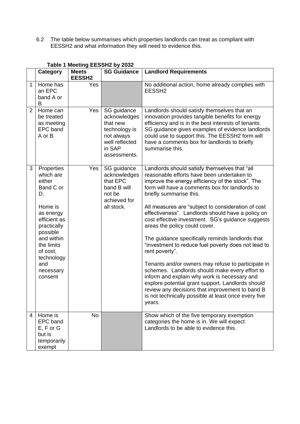6.2 The table below summarises which properties landlords can treat as compliant with EESSH2 and what information they will need to evidence this.

|                | Table I meeting EESSHZ by ZUSZ                                                                                                                                                                               |                               |                                                                                                                    |                                                                                                                                                                                                                                                                                                                                                                                                                                                                                                                                                                                                                                                                                                                                                                                                                                                                                              |  |  |
|----------------|--------------------------------------------------------------------------------------------------------------------------------------------------------------------------------------------------------------|-------------------------------|--------------------------------------------------------------------------------------------------------------------|----------------------------------------------------------------------------------------------------------------------------------------------------------------------------------------------------------------------------------------------------------------------------------------------------------------------------------------------------------------------------------------------------------------------------------------------------------------------------------------------------------------------------------------------------------------------------------------------------------------------------------------------------------------------------------------------------------------------------------------------------------------------------------------------------------------------------------------------------------------------------------------------|--|--|
|                | Category                                                                                                                                                                                                     | <b>Meets</b><br><b>EESSH2</b> | <b>SG Guidance</b>                                                                                                 | <b>Landlord Requirements</b>                                                                                                                                                                                                                                                                                                                                                                                                                                                                                                                                                                                                                                                                                                                                                                                                                                                                 |  |  |
| $\mathbf{1}$   | Home has<br>an EPC<br>band A or<br>B                                                                                                                                                                         | Yes                           |                                                                                                                    | No additional action, home already complies with<br>EESSH <sub>2</sub>                                                                                                                                                                                                                                                                                                                                                                                                                                                                                                                                                                                                                                                                                                                                                                                                                       |  |  |
| $\overline{2}$ | Home can<br>be treated<br>as meeting<br>EPC band<br>A or B                                                                                                                                                   | Yes                           | SG guidance<br>acknowledges<br>that new<br>technology is<br>not always<br>well reflected<br>in SAP<br>assessments. | Landlords should satisfy themselves that an<br>innovation provides tangible benefits for energy<br>efficiency and is in the best interests of tenants.<br>SG guidance gives examples of evidence landlords<br>could use to support this. The EESSH2 form will<br>have a comments box for landlords to briefly<br>summarise this.                                                                                                                                                                                                                                                                                                                                                                                                                                                                                                                                                             |  |  |
| 3              | Properties<br>which are<br>either<br>Band C or<br>D.<br>Home is<br>as energy<br>efficient as<br>practically<br>possible<br>and within<br>the limits<br>of cost,<br>technology<br>and<br>necessary<br>consent | Yes                           | SG guidance<br>acknowledges<br>that EPC<br>band B will<br>not be<br>achieved for<br>all stock.                     | Landlords should satisfy themselves that "all<br>reasonable efforts have been undertaken to<br>improve the energy efficiency of the stock". The<br>form will have a comments box for landlords to<br>briefly summarise this.<br>All measures are "subject to consideration of cost<br>effectiveness". Landlords should have a policy on<br>cost effective investment. SG's guidance suggests<br>areas the policy could cover.<br>The guidance specifically reminds landlords that<br>"investment to reduce fuel poverty does not lead to<br>rent poverty".<br>Tenants and/or owners may refuse to participate in<br>schemes. Landlords should make every effort to<br>inform and explain why work is necessary and<br>explore potential grant support. Landlords should<br>review any decisions that improvement to band B<br>is not technically possible at least once every five<br>years. |  |  |
| 4              | Home is<br>EPC band<br>$E, F$ or $G$<br>but is<br>temporarily<br>exempt                                                                                                                                      | No                            |                                                                                                                    | Show which of the five temporary exemption<br>categories the home is in. We will expect<br>Landlords to be able to evidence this.                                                                                                                                                                                                                                                                                                                                                                                                                                                                                                                                                                                                                                                                                                                                                            |  |  |

### **Table 1 Meeting EESSH2 by 2032**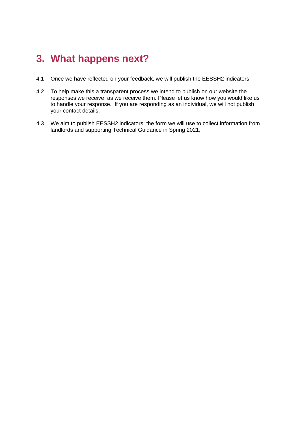# **3. What happens next?**

- 4.1 Once we have reflected on your feedback, we will publish the EESSH2 indicators.
- 4.2 To help make this a transparent process we intend to publish on our website the responses we receive, as we receive them. Please let us know how you would like us to handle your response. If you are responding as an individual, we will not publish your contact details.
- 4.3 We aim to publish EESSH2 indicators; the form we will use to collect information from landlords and supporting Technical Guidance in Spring 2021.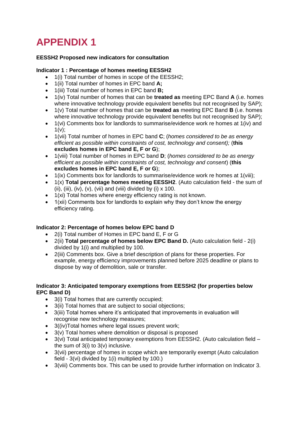# **APPENDIX 1**

#### **EESSH2 Proposed new indicators for consultation**

#### **Indicator 1 : Percentage of homes meeting EESSH2**

- 1(i) Total number of homes in scope of the EESSH2;
- 1(ii) Total number of homes in EPC band **A;**
- 1(iii) Total number of homes in EPC band **B;**
- 1(iv) Total number of homes that can be **treated as** meeting EPC Band **A** (i.e. homes where innovative technology provide equivalent benefits but not recognised by SAP);
- 1(v) Total number of homes that can be **treated as** meeting EPC Band **B** (i.e. homes where innovative technology provide equivalent benefits but not recognised by SAP);
- 1(vi) Comments box for landlords to summarise/evidence work re homes at 1(iv) and  $1(v)$ ;
- 1(vii) Total number of homes in EPC band **C**; (*homes considered to be as energy efficient as possible within constraints of cost, technology and consent);* (**this excludes homes in EPC band E, F or G**);
- 1(viii) Total number of homes in EPC band **D**; (*homes considered to be as energy efficient as possible within constraints of cost, technology and consent*) (**this excludes homes in EPC band E, F or G**);
- 1(ix) Comments box for landlords to summarise/evidence work re homes at 1(viii);
- 1(x) **Total percentage homes meeting EESSH2**. (Auto calculation field the sum of (ii), (iii), (iv), (v), (vii) and (viii) divided by (i)  $\times$  100.
- 1(xi) Total homes where energy efficiency rating is not known.
- 1(xii) Comments box for landlords to explain why they don't know the energy efficiency rating.

#### **Indicator 2: Percentage of homes below EPC band D**

- 2(i) Total number of Homes in EPC band E, F or G
- 2(ii) **Total percentage of homes below EPC Band D.** (Auto calculation field 2(i) divided by 1(i) and multiplied by 100.
- 2(iii) Comments box. Give a brief description of plans for these properties. For example, energy efficiency improvements planned before 2025 deadline or plans to dispose by way of demolition, sale or transfer.

#### **Indicator 3: Anticipated temporary exemptions from EESSH2 (for properties below EPC Band D)**

- 3(i) Total homes that are currently occupied;
- 3(ii) Total homes that are subject to social objections;
- 3(iii) Total homes where it's anticipated that improvements in evaluation will recognise new technology measures;
- 3((iv)Total homes where legal issues prevent work;
- 3(v) Total homes where demolition or disposal is proposed
- 3(vi) Total anticipated temporary exemptions from EESSH2. (Auto calculation field the sum of 3(i) to 3(v) inclusive.
- 3(vii) percentage of homes in scope which are temporarily exempt (Auto calculation field - 3(vi) divided by 1(i) multiplied by 100.)
- 3(viii) Comments box. This can be used to provide further information on Indicator 3.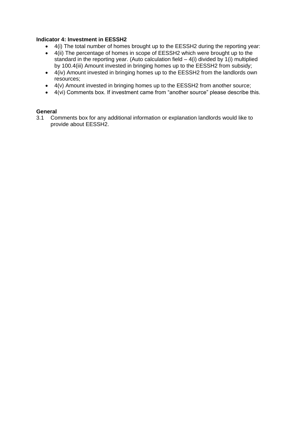#### **Indicator 4: Investment in EESSH2**

- 4(i) The total number of homes brought up to the EESSH2 during the reporting year:
- 4(ii) The percentage of homes in scope of EESSH2 which were brought up to the standard in the reporting year. (Auto calculation field  $-4(i)$  divided by 1(i) multiplied by 100.4(iii) Amount invested in bringing homes up to the EESSH2 from subsidy;
- 4(iv) Amount invested in bringing homes up to the EESSH2 from the landlords own resources;
- 4(v) Amount invested in bringing homes up to the EESSH2 from another source;
- 4(vi) Comments box. If investment came from "another source" please describe this.

#### **General**

3.1 Comments box for any additional information or explanation landlords would like to provide about EESSH2.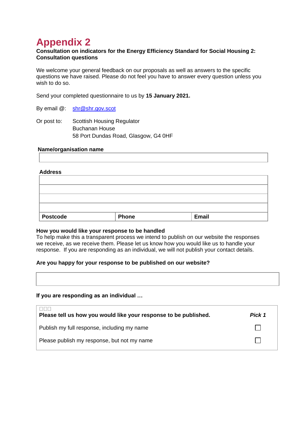## **Appendix 2**

#### **Consultation on indicators for the Energy Efficiency Standard for Social Housing 2: Consultation questions**

We welcome your general feedback on our proposals as well as answers to the specific questions we have raised. Please do not feel you have to answer every question unless you wish to do so.

Send your completed questionnaire to us by **15 January 2021.**

By email @: [shr@shr.gov.scot](mailto:shr@shr.gov.scot)

Or post to: Scottish Housing Regulator Buchanan House 58 Port Dundas Road, Glasgow, G4 0HF

#### **Name/organisation name**

#### **Address**

| <b>Postcode</b> | Phone | <b>Email</b> |
|-----------------|-------|--------------|

#### **How you would like your response to be handled**

To help make this a transparent process we intend to publish on our website the responses we receive, as we receive them. Please let us know how you would like us to handle your response. If you are responding as an individual, we will not publish your contact details.

#### **Are you happy for your response to be published on our website?**

#### **If you are responding as an individual …**

| Please tell us how you would like your response to be published. | Pick 1 |
|------------------------------------------------------------------|--------|
| Publish my full response, including my name                      |        |
| Please publish my response, but not my name                      |        |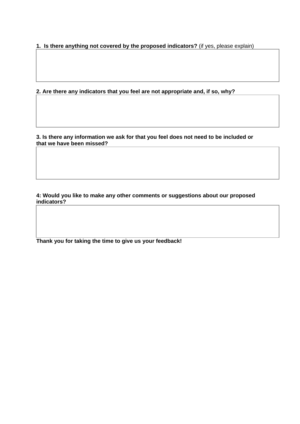**1. Is there anything not covered by the proposed indicators?** (if yes, please explain)

**2. Are there any indicators that you feel are not appropriate and, if so, why?**

**3. Is there any information we ask for that you feel does not need to be included or that we have been missed?** 

**4: Would you like to make any other comments or suggestions about our proposed indicators?**

**Thank you for taking the time to give us your feedback!**